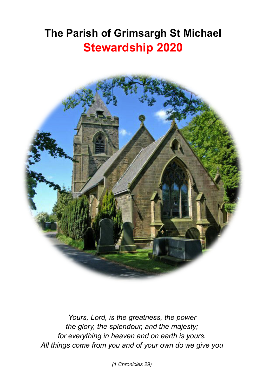# **The Parish of Grimsargh St Michael Stewardship 2020**



*Yours, Lord, is the greatness, the power the glory, the splendour, and the majesty; for everything in heaven and on earth is yours. All things come from you and of your own do we give you*

*(1 Chronicles 29)*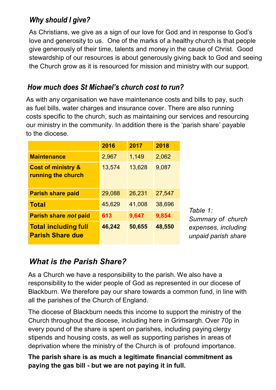#### **Why should I aive?**

As Christians, we give as a sign of our love for God and in response to God's love and generosity to us. One of the marks of a healthy church is that people give generously of their time, talents and money in the cause of Christ. Good stewardship of our resources is about generously giving back to God and seeing the Church grow as it is resourced for mission and ministry with our support.

#### How much does St Michael's church cost to run?

As with any organisation we have maintenance costs and bills to pay, such as fuel bills, water charges and insurance cover. There are also running costs specific to the church, such as maintaining our services and resourcing our ministry in the community. In addition there is the 'parish share' payable to the diocese.

|                                                        | 2016   | 2017   | 2018   |          |
|--------------------------------------------------------|--------|--------|--------|----------|
| <b>Maintenance</b>                                     | 2,967  | 1,149  | 2,062  |          |
| <b>Cost of ministry &amp;</b><br>running the church    | 13,574 | 13,628 | 9,087  |          |
| <b>Parish share paid</b>                               | 29,088 | 26.231 | 27.547 |          |
| <b>Total</b>                                           | 45,629 | 41,008 | 38,696 | T        |
| Parish share not paid                                  | 613    | 9,647  | 9,854  | S        |
| <b>Total including full</b><br><b>Parish Share due</b> | 46,242 | 50,655 | 48,550 | e,<br>uı |

*Table 1: Summary of church expenses, including unpaid parish share*

### *What is the Parish Share?*

As a Church we have a responsibility to the parish. We also have a responsibility to the wider people of God as represented in our diocese of Blackburn. We therefore pay our share towards a common fund, in line with all the parishes of the Church of England.

The diocese of Blackburn needs this income to support the ministry of the Church throughout the diocese, including here in Grimsargh. Over 70p in every pound of the share is spent on parishes, including paying clergy stipends and housing costs, as well as supporting parishes in areas of deprivation where the ministry of the Church is of profound importance.

**The parish share is as much a legitimate financial commitment as paying the gas bill - but we are not paying it in full.**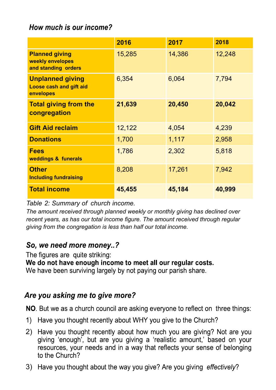#### How much is our income?

|                                                                  | 2016   | 2017   | 2018   |
|------------------------------------------------------------------|--------|--------|--------|
| <b>Planned giving</b><br>weekly envelopes<br>and standing orders | 15,285 | 14,386 | 12,248 |
| <b>Unplanned giving</b><br>Loose cash and gift aid<br>envelopes  | 6,354  | 6,064  | 7,794  |
| <b>Total giving from the</b><br>congregation                     | 21,639 | 20,450 | 20,042 |
| <b>Gift Aid reclaim</b>                                          | 12,122 | 4,054  | 4,239  |
| <b>Donations</b>                                                 | 1,700  | 1,117  | 2,958  |
| <b>Fees</b><br>weddings & funerals                               | 1,786  | 2,302  | 5,818  |
| <b>Other</b><br><b>Including fundraising</b>                     | 8,208  | 17,261 | 7,942  |
| <b>Total income</b>                                              | 45,455 | 45,184 | 40,999 |

#### *Table 2: Summary of church income.*

*The amount received through planned weekly or monthly giving has declined over recent years, as has our total income figure. The amount received through regular giving from the congregation is less than half our total income.*

#### So, we need more money..?

The figures are quite striking:

We do not have enough income to meet all our regular costs.

We have been surviving largely by not paying our parish share.

#### Are you asking me to give more?

NO. But we as a church council are asking everyone to reflect on three things:

- 1) Have you thought recently about WHY you give to the Church?
- 2) Have you thought recently about how much you are giving? Not are you giving 'enough', but are you giving a 'realistic amount,' based on your resources, your needs and in a way that reflects your sense of belonging to the Church?
- 3) Have you thought about the way you give? Are you giving effectively?